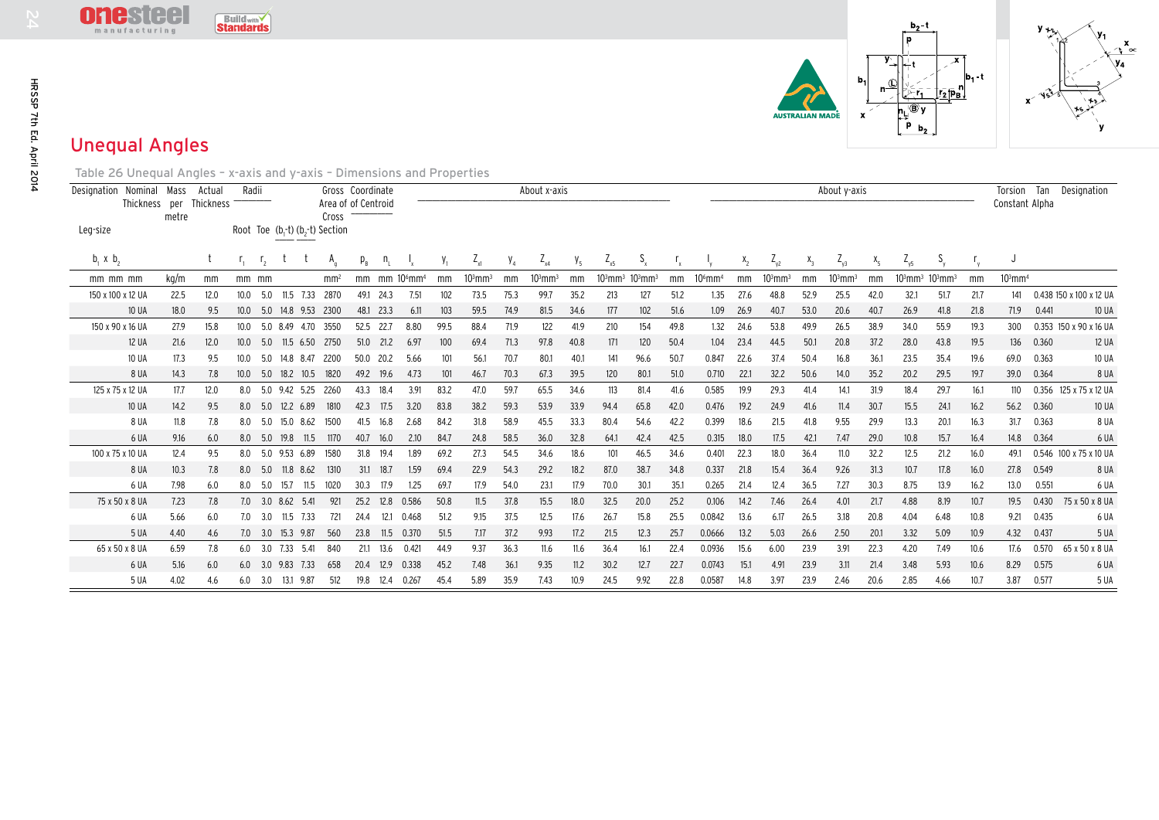

| HRSSP 7th Ed. April 2014 | 63 GE<br>manufacturing                                                                                                                            |              |            | $\text{Build}_{\text{with}}\checkmark$<br><b>Standards</b> |                |                                             |                              |                  |              |                                       |              |              |              |                       |              |              |              |              |                       |              |              | <b>NUSTRALIAN MADE</b> |               | b.<br>$\mathbf{x}$ | $b_2$ t<br>p<br>$y$ $\perp$<br>'®γ<br>$P_{b_2}$ | $\boldsymbol{\mathsf{x}}$<br>$\mathsf{tr}_{2}$ p <sub>B</sub> | b <sub>1</sub> t |                       |       |                           |
|--------------------------|---------------------------------------------------------------------------------------------------------------------------------------------------|--------------|------------|------------------------------------------------------------|----------------|---------------------------------------------|------------------------------|------------------|--------------|---------------------------------------|--------------|--------------|--------------|-----------------------|--------------|--------------|--------------|--------------|-----------------------|--------------|--------------|------------------------|---------------|--------------------|-------------------------------------------------|---------------------------------------------------------------|------------------|-----------------------|-------|---------------------------|
|                          | <b>Unequal Angles</b>                                                                                                                             |              |            |                                                            |                |                                             |                              |                  |              |                                       |              |              |              |                       |              |              |              |              |                       |              |              |                        |               |                    |                                                 |                                                               |                  |                       |       |                           |
|                          | Table 26 Unequal Angles - x-axis and y-axis - Dimensions and Properties<br>Designation Nominal Mass Actual<br>Thickness per Thickness<br>Leg-size | metre        |            | Radii                                                      |                | Root Toe $(b_1-t)(b_2-t)$ Section           | Area of of Centroid<br>Cross | Gross Coordinate |              |                                       |              |              |              | About x-axis          |              |              |              |              |                       |              |              |                        | About y-axis  |                    |                                                 |                                                               |                  | Constant Alpha        |       | Torsion Tan Designation   |
|                          | b, x, b,                                                                                                                                          |              | t          | $\mathsf{r}_{1}$                                           | r <sub>2</sub> |                                             | $A_{n}$                      | $p_{\rm B}$      | n,           |                                       | $Y_1$        | $Z_{\rm x1}$ | $V_4$        | $Z_{x4}$              | $V_5$        | $Z_{x5}$     | $S_{\rm x}$  |              |                       | $X_2$        | $Z_{y2}$     | $X_3$                  | $Z_{\gamma3}$ | $X_{5}$            | $Z_{\gamma5}$                                   | $S_{v}$                                                       | $r_{y}$          | J                     |       |                           |
|                          | mm mm mm                                                                                                                                          | kg/m         | mm         | $mm$ $mm$                                                  |                |                                             | mm <sup>2</sup>              |                  |              | mm mm 10 <sup>6</sup> mm <sup>4</sup> | mm           | $103$ mm $3$ | mm           | $103$ mm <sup>3</sup> | mm           | $103$ mm $3$ | $103$ mm $3$ | mm           | $106$ mm <sup>4</sup> | mm           | $103$ mm $3$ | mm                     | $103$ mm $3$  | mm                 |                                                 | $103$ mm <sup>3</sup> $103$ mm <sup>3</sup>                   | mm               | $103$ mm <sup>4</sup> |       |                           |
|                          | 150 x 100 x 12 UA                                                                                                                                 | 22.5         | 12.0       |                                                            | 10.0 5.0       | 11.5 7.33 2870                              |                              |                  | 49.1 24.3    | 7.51                                  | 102          | 73.5         | 75.3         | 99.7                  | 35.2         | 213          | 127          | 51.2         | 1.35                  | 27.6         | 48.8         | 52.9                   | 25.5          | 42.0               | 32.1                                            | 51.7                                                          | 21.7             | 141                   |       | 0.438 150 x 100 x 12 UA   |
|                          | <b>10 UA</b>                                                                                                                                      | 18.0         | 9.5        |                                                            |                | 10.0 5.0 14.8 9.53 2300                     |                              |                  | 48.1 23.3    | 6.11                                  | 103          | 59.5         | 74.9         | 81.5                  | 34.6         | 177          | 102          | 51.6         | 1.09                  | 26.9         | 40.7         | 53.0                   | 20.6          | 40.7               | 26.9                                            | 41.8                                                          | 21.8             | 71.9                  | 0.441 | <b>10 UA</b>              |
|                          | 150 x 90 x 16 UA                                                                                                                                  | 27.9         | 15.8       |                                                            |                | 10.0 5.0 8.49 4.70 3550                     |                              |                  | 52.5 22.7    | 8.80                                  | 99.5         | 88.4         | 71.9         | 122                   | 41.9         | 210          | 154          | 49.8         | 1.32                  | 24.6         | 53.8         | 49.9                   | 26.5          | 38.9               | 34.0                                            | 55.9                                                          | 19.3             | 300                   |       | 0.353 150 x 90 x 16 UA    |
|                          | <b>12 UA</b>                                                                                                                                      | 21.6         | 12.0       |                                                            |                | 10.0 5.0 11.5 6.50 2750                     |                              |                  | 51.0 21.2    | 6.97                                  | 100          | 69.4         | 71.3         | 97.8                  | 40.8         | 171          | 120          | 50.4         | 1.04                  | 23.4         | 44.5         | 50.1                   | 20.8          | 37.2               | 28.0                                            | 43.8                                                          | 19.5             | 136                   | 0.360 | <b>12 UA</b>              |
|                          | <b>10 UA</b>                                                                                                                                      | 17.3         | 9.5        |                                                            |                | 10.0 5.0 14.8 8.47 2200                     |                              |                  | 50.0 20.2    | 5.66                                  | 101          | 56.1         | 70.7         | 80.1                  | 40.1         | 141          | 96.6         | 50.7         | 0.847                 | 22.6         | 37.4         | 50.4                   | 16.8          | 36.1               | 23.5                                            | 35.4                                                          | 19.6             | 69.0                  | 0.363 | <b>10 UA</b>              |
|                          | 8 UA                                                                                                                                              | 14.3         | 7.8        |                                                            |                | 10.0 5.0 18.2 10.5 1820                     |                              |                  | 49.2 19.6    | 4.73                                  | 101          | 46.7         | 70.3         | 67.3                  | 39.5         | 120          | 80.1         | 51.0         | 0.710                 | 22.1         | 32.2         | 50.6                   | 14.0          | 35.2               | 20.2                                            | 29.5                                                          | 19.7             | 39.0                  | 0.364 | 8 UA                      |
|                          | 125 x 75 x 12 UA<br><b>10 UA</b>                                                                                                                  | 17.7         | 12.0       |                                                            |                | 8.0 5.0 9.42 5.25 2260<br>8.0 5.0 12.2 6.89 | 1810                         | 43.3             | 18.4         | 3.91                                  | 83.2<br>83.8 | 47.0<br>38.2 | 59.7<br>59.3 | 65.5<br>53.9          | 34.6<br>33.9 | 113          | 81.4         | 41.6         | 0.585                 | 19.9<br>19.2 | 29.3         | 41.4                   | 14.1          | 31.9               | 18.4                                            | 29.7                                                          | 16.1             | 110<br>56.2           | 0.360 | 0.356 125 x 75 x 12 UA    |
|                          | 8 UA                                                                                                                                              | 14.2<br>11.8 | 9.5<br>7.8 |                                                            |                | 8.0 5.0 15.0 8.62                           | 1500                         | 42.3<br>41.5     | 17.5<br>16.8 | 3.20<br>2.68                          | 84.2         | 31.8         | 58.9         | 45.5                  | 33.3         | 94.4<br>80.4 | 65.8<br>54.6 | 42.0<br>42.2 | 0.476<br>0.399        | 18.6         | 24.9<br>21.5 | 41.6<br>41.8           | 11.4<br>9.55  | 30.7<br>29.9       | 15.5<br>13.3                                    | 24.1<br>20.1                                                  | 16.2<br>16.3     | 31.7                  | 0.363 | <b>10 UA</b><br>8 UA      |
|                          | 6 UA                                                                                                                                              | 9.16         | 6.0        |                                                            |                | 8.0 5.0 19.8 11.5                           | 1170                         | 40.7             | 16.0         | 2.10                                  | 84.7         | 24.8         | 58.5         | 36.0                  | 32.8         | 64.1         | 42.4         | 42.5         | 0.315                 | 18.0         | 17.5         | 42.1                   | 7.47          | 29.0               | 10.8                                            | 15.7                                                          | 16.4             | 14.8                  | 0.364 | 6 UA                      |
|                          | 100 x 75 x 10 UA                                                                                                                                  | 12.4         | 9.5        |                                                            |                | 8.0 5.0 9.53 6.89                           | 1580                         |                  | 31.8 19.4    | 1.89                                  | 69.2         | 27.3         | 54.5         | 34.6                  | 18.6         | 101          | 46.5         | 34.6         | 0.401                 | 22.3         | 18.0         | 36.4                   | 11.0          | 32.2               | 12.5                                            | 21.2                                                          | 16.0             | 49.1                  |       | 0.546 100 x 75 x 10 UA    |
|                          | 8 UA                                                                                                                                              | 10.3         | 7.8        |                                                            |                | 8.0 5.0 11.8 8.62 1310                      |                              |                  | 31.1 18.7    | 1.59                                  | 69.4         | 22.9         | 54.3         | 29.2                  | 18.2         | 87.0         | 38.7         | 34.8         | 0.337                 | 21.8         | 15.4         | 36.4                   | 9.26          | 31.3               | 10.7                                            | 17.8                                                          | 16.0             | 27.8                  | 0.549 | 8 UA                      |
|                          | 6 UA                                                                                                                                              | 7.98         | 6.0        |                                                            |                | 8.0 5.0 15.7 11.5                           | 1020                         | 30.3             | 17.9         | 1.25                                  | 69.7         | 17.9         | 54.0         | 23.1                  | 17.9         | 70.0         | 30.1         | 35.1         | 0.265                 | 21.4         | 12.4         | 36.5                   | 7.27          | 30.3               | 8.75                                            | 13.9                                                          | 16.2             | 13.0                  | 0.551 | 6 UA                      |
|                          | 75 x 50 x 8 UA                                                                                                                                    | 7.23         | 7.8        |                                                            |                | 7.0 3.0 8.62 5.41                           | 921                          |                  | 25.2 12.8    | 0.586                                 | 50.8         | 11.5         | 37.8         | 15.5                  | 18.0         | 32.5         | 20.0         | 25.2         | 0.106                 | 14.2         | 7.46         | 26.4                   | 4.01          | 21.7               | 4.88                                            | 8.19                                                          | 10.7             |                       |       | 19.5 0.430 75 x 50 x 8 UA |
|                          | 6 UA                                                                                                                                              | 5.66         | 6.0        |                                                            |                | 7.0 3.0 11.5 7.33                           | 721                          | 24.4             | 12.1 0.468   |                                       | 51.2         | 9.15         | 37.5         | 12.5                  | 17.6         | 26.7         | 15.8         | 25.5         | 0.0842                | 13.6         | 6.17         | 26.5                   | 3.18          | 20.8               | 4.04                                            | 6.48                                                          | 10.8             | 9.21                  | 0.435 | 6 UA                      |
|                          | 5 UA                                                                                                                                              | 4.40         | 4.6        |                                                            |                | 7.0 3.0 15.3 9.87                           | 560                          | 23.8             | 11.5 0.370   |                                       | 51.5         | 7.17         | 37.2         | 9.93                  | 17.2         | 21.5         | 12.3         | 25.7         | 0.0666                | 13.2         | 5.03         | 26.6                   | 2.50          | 20.1               | 3.32                                            | 5.09                                                          | 10.9             | 4.32                  | 0.437 | 5 UA                      |
|                          | 65 x 50 x 8 UA                                                                                                                                    | 6.59         | 7.8        |                                                            |                | 6.0 3.0 7.33 5.41                           | 840                          |                  | 21.1 13.6    | 0.421                                 | 44.9         | 9.37         | 36.3         | 11.6                  | 11.6         | 36.4         | 16.1         | 22.4         | 0.0936                | 15.6         | 6.00         | 23.9                   | 3.91          | 22.3               | 4.20                                            | 7.49                                                          | 10.6             | 17.6                  |       | 0.570 65 x 50 x 8 UA      |
|                          | 6 UA                                                                                                                                              | 5.16         | 6.0        |                                                            |                | 6.0 3.0 9.83 7.33                           | 658                          | 20.4             | 12.9         | 0.338                                 | 45.2         | 7.48         | 36.1         | 9.35                  | 11.2         | 30.2         | 12.7         | 22.7         | 0.0743                | 15.1         | 4.91         | 23.9                   | 3.11          | 21.4               | 3.48                                            | 5.93                                                          | 10.6             | 8.29                  | 0.575 | 6 UA                      |
|                          | 5 UA                                                                                                                                              | 4.02         | 4.6        | 6.0                                                        |                | 3.0 13.1 9.87                               | 512                          | 19.8             | 12.4         | 0.267                                 | 45.4         | 5.89         | 35.9         | 7.43                  | 10.9         | 24.5         | 9.92         | 22.8         | 0.0587                | 14.8         | 3.97         | 23.9                   | 2.46          | 20.6               | 2.85                                            | 4.66                                                          | 10.7             | 3.87                  | 0.577 | 5 UA                      |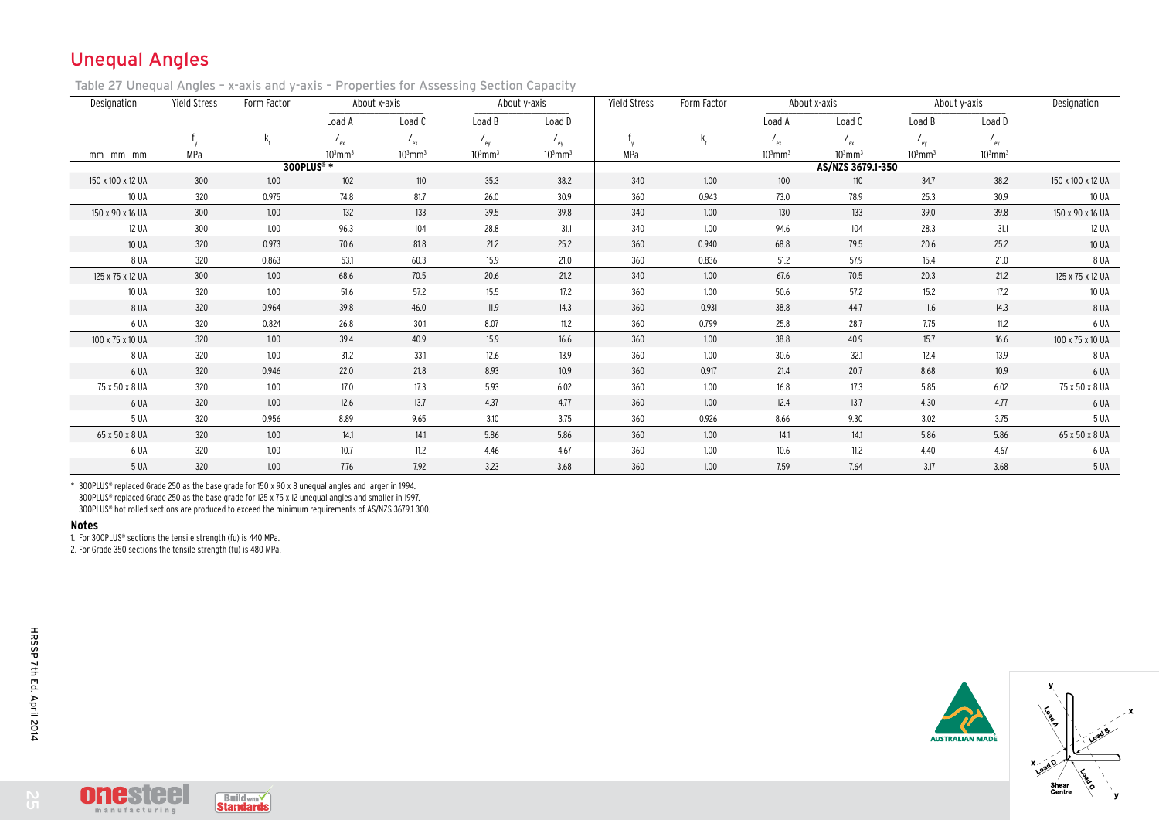## Unequal Angles

Table 27 Unequal Angles – x-axis and y-axis – Properties for Assessing Section Capacity

| Designation       | <b>Yield Stress</b><br>Form Factor |       |                       | About x-axis |                       | About y-axis          | <b>Yield Stress</b> | Form Factor |                       | About x-axis      | About y-axis | Designation           |                   |
|-------------------|------------------------------------|-------|-----------------------|--------------|-----------------------|-----------------------|---------------------|-------------|-----------------------|-------------------|--------------|-----------------------|-------------------|
|                   |                                    |       | Load A                | Load C       | Load B                | Load D                |                     |             | Load A                | Load C            | Load B       | Load D                |                   |
|                   |                                    |       | $L_{\rho \chi}$       | $Z_{ex}$     | $Z_{ey}$              | $Z_{ey}$              |                     |             | $Z_{ex}$              | $Z_{ex}$          | $Z_{ey}$     | $Z_{ey}$              |                   |
| $mm$ $mm$ $mm$    | MPa                                |       | $103$ mm <sup>3</sup> | $103$ mm $3$ | $103$ mm <sup>3</sup> | $103$ mm <sup>3</sup> | MPa                 |             | $103$ mm <sup>3</sup> | $103$ mm $3$      | $103$ mm $3$ | $103$ mm <sup>3</sup> |                   |
|                   |                                    |       | 300PLUS® *            |              |                       |                       |                     |             |                       | AS/NZS 3679.1-350 |              |                       |                   |
| 150 x 100 x 12 UA | 300                                | 1.00  | 102                   | 110          | 35.3                  | 38.2                  | 340                 | 1.00        | 100                   | 110               | 34.7         | 38.2                  | 150 x 100 x 12 UA |
| 10 UA             | 320                                | 0.975 | 74.8                  | 81.7         | 26.0                  | 30.9                  | 360                 | 0.943       | 73.0                  | 78.9              | 25.3         | 30.9                  | 10 UA             |
| 150 x 90 x 16 UA  | 300                                | 1.00  | 132                   | 133          | 39.5                  | 39.8                  | 340                 | 1.00        | 130                   | 133               | 39.0         | 39.8                  | 150 x 90 x 16 UA  |
| 12 UA             | 300                                | 1.00  | 96.3                  | 104          | 28.8                  | 31.1                  | 340                 | 1.00        | 94.6                  | 104               | 28.3         | 31.1                  | 12 UA             |
| 10 UA             | 320                                | 0.973 | 70.6                  | 81.8         | 21.2                  | 25.2                  | 360                 | 0.940       | 68.8                  | 79.5              | 20.6         | 25.2                  | <b>10 UA</b>      |
| 8 UA              | 320                                | 0.863 | 53.1                  | 60.3         | 15.9                  | 21.0                  | 360                 | 0.836       | 51.2                  | 57.9              | 15.4         | 21.0                  | 8 UA              |
| 125 x 75 x 12 UA  | 300                                | 1.00  | 68.6                  | 70.5         | 20.6                  | 21.2                  | 340                 | 1.00        | 67.6                  | 70.5              | 20.3         | 21.2                  | 125 x 75 x 12 UA  |
| 10 UA             | 320                                | 1.00  | 51.6                  | 57.2         | 15.5                  | 17.2                  | 360                 | 1.00        | 50.6                  | 57.2              | 15.2         | 17.2                  | 10 UA             |
| 8 UA              | 320                                | 0.964 | 39.8                  | 46.0         | 11.9                  | 14.3                  | 360                 | 0.931       | 38.8                  | 44.7              | 11.6         | 14.3                  | 8 UA              |
| 6 UA              | 320                                | 0.824 | 26.8                  | 30.1         | 8.07                  | 11.2                  | 360                 | 0.799       | 25.8                  | 28.7              | 7.75         | 11.2                  | 6 UA              |
| 100 x 75 x 10 UA  | 320                                | 1.00  | 39.4                  | 40.9         | 15.9                  | 16.6                  | 360                 | 1.00        | 38.8                  | 40.9              | 15.7         | 16.6                  | 100 x 75 x 10 UA  |
| 8 UA              | 320                                | 1.00  | 31.2                  | 33.1         | 12.6                  | 13.9                  | 360                 | 1.00        | 30.6                  | 32.1              | 12.4         | 13.9                  | 8 UA              |
| 6 UA              | 320                                | 0.946 | 22.0                  | 21.8         | 8.93                  | 10.9                  | 360                 | 0.917       | 21.4                  | 20.7              | 8.68         | 10.9                  | 6 UA              |
| 75 x 50 x 8 UA    | 320                                | 1.00  | 17.0                  | 17.3         | 5.93                  | 6.02                  | 360                 | 1.00        | 16.8                  | 17.3              | 5.85         | 6.02                  | 75 x 50 x 8 UA    |
| 6 UA              | 320                                | 1.00  | 12.6                  | 13.7         | 4.37                  | 4.77                  | 360                 | 1.00        | 12.4                  | 13.7              | 4.30         | 4.77                  | 6 UA              |
| 5 UA              | 320                                | 0.956 | 8.89                  | 9.65         | 3.10                  | 3.75                  | 360                 | 0.926       | 8.66                  | 9.30              | 3.02         | 3.75                  | 5 UA              |
| 65 x 50 x 8 UA    | 320                                | 1.00  | 14.1                  | 14.1         | 5.86                  | 5.86                  | 360                 | 1.00        | 14.1                  | 14.1              | 5.86         | 5.86                  | 65 x 50 x 8 UA    |
| 6 UA              | 320                                | 1.00  | 10.7                  | 11.2         | 4.46                  | 4.67                  | 360                 | 1.00        | 10.6                  | 11.2              | 4.40         | 4.67                  | 6 UA              |
| 5 UA              | 320                                | 1.00  | 7.76                  | 7.92         | 3.23                  | 3.68                  | 360                 | 1.00        | 7.59                  | 7.64              | 3.17         | 3.68                  | 5 UA              |

\* 300PLUS® replaced Grade 250 as the base grade for 150 x 90 x 8 unequal angles and larger in 1994. 300PLUS® replaced Grade 250 as the base grade for 125 x 75 x 12 unequal angles and smaller in 1997. 300PLUS® hot rolled sections are produced to exceed the minimum requirements of AS/NZS 3679.1-300.

## **Notes**

1. For 300PLUS® sections the tensile strength (fu) is 440 MPa.

2. For Grade 350 sections the tensile strength (fu) is 480 MPa.